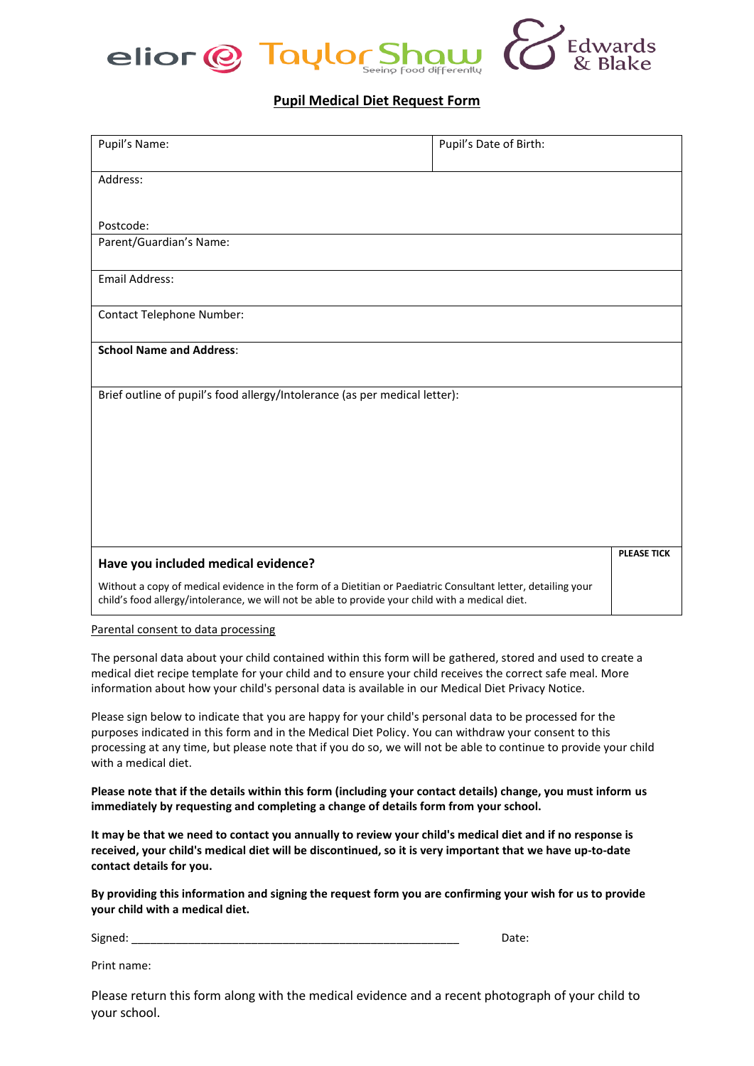

## **Pupil Medical Diet Request Form**

| Pupil's Name:                                                                                                                                                                                                     | Pupil's Date of Birth: |                    |
|-------------------------------------------------------------------------------------------------------------------------------------------------------------------------------------------------------------------|------------------------|--------------------|
| Address:                                                                                                                                                                                                          |                        |                    |
| Postcode:                                                                                                                                                                                                         |                        |                    |
| Parent/Guardian's Name:                                                                                                                                                                                           |                        |                    |
| Email Address:                                                                                                                                                                                                    |                        |                    |
| <b>Contact Telephone Number:</b>                                                                                                                                                                                  |                        |                    |
| <b>School Name and Address:</b>                                                                                                                                                                                   |                        |                    |
| Brief outline of pupil's food allergy/Intolerance (as per medical letter):                                                                                                                                        |                        |                    |
|                                                                                                                                                                                                                   |                        |                    |
|                                                                                                                                                                                                                   |                        |                    |
|                                                                                                                                                                                                                   |                        |                    |
|                                                                                                                                                                                                                   |                        |                    |
|                                                                                                                                                                                                                   |                        |                    |
| Have you included medical evidence?                                                                                                                                                                               |                        | <b>PLEASE TICK</b> |
| Without a copy of medical evidence in the form of a Dietitian or Paediatric Consultant letter, detailing your<br>child's food allergy/intolerance, we will not be able to provide your child with a medical diet. |                        |                    |

Parental consent to data processing

The personal data about your child contained within this form will be gathered, stored and used to create a medical diet recipe template for your child and to ensure your child receives the correct safe meal. More information about how your child's personal data is available in our Medical Diet Privacy Notice.

Please sign below to indicate that you are happy for your child's personal data to be processed for the purposes indicated in this form and in the Medical Diet Policy. You can withdraw your consent to this processing at any time, but please note that if you do so, we will not be able to continue to provide your child with a medical diet.

**Please note that if the details within this form (including your contact details) change, you must inform us immediately by requesting and completing a change of details form from your school.**

**It may be that we need to contact you annually to review your child's medical diet and if no response is received, your child's medical diet will be discontinued, so it is very important that we have up-to-date contact details for you.** 

**By providing this information and signing the request form you are confirming your wish for us to provide your child with a medical diet.** 

Signed: \_\_\_\_\_\_\_\_\_\_\_\_\_\_\_\_\_\_\_\_\_\_\_\_\_\_\_\_\_\_\_\_\_\_\_\_\_\_\_\_\_\_\_\_\_\_\_\_\_\_\_\_ Date:

Print name:

Please return this form along with the medical evidence and a recent photograph of your child to your school.